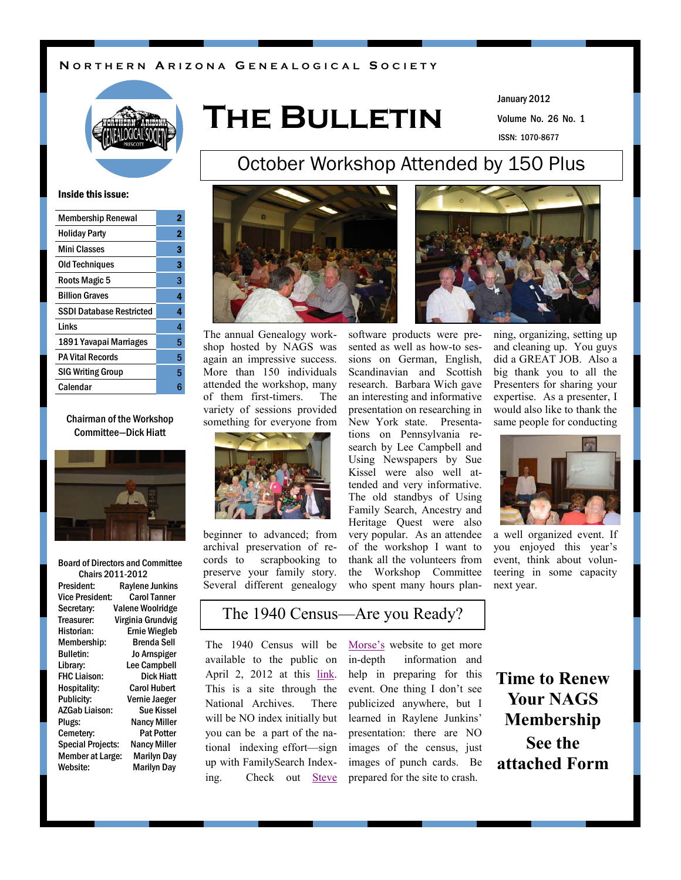#### **N O R T H E R N A R I Z O N A G E N E A L O G I C A L S O C I E T Y**



# **The Bulletin**

Volume No. 26 No. 1 January 2012 ISSN: 1070-8677

#### Inside this issue:

| <b>Membership Renewal</b>       | 2 |
|---------------------------------|---|
| <b>Holiday Party</b>            | 2 |
| <b>Mini Classes</b>             | 3 |
| <b>Old Techniques</b>           | 3 |
| Roots Magic 5                   | 3 |
| <b>Billion Graves</b>           | 4 |
| <b>SSDI Database Restricted</b> | 4 |
| Links                           | 4 |
| 1891 Yavapai Marriages          | 5 |
| <b>PA Vital Records</b>         | 5 |
| <b>SIG Writing Group</b>        | 5 |
| Calendar                        | ĥ |
|                                 |   |

#### Chairman of the Workshop Committee—Dick Hiatt



#### Board of Directors and Committee Chairs 2011-2012

| <b>Raylene Junkins</b>                          |
|-------------------------------------------------|
| <b>Carol Tanner</b>                             |
| <b>Valene Woolridge</b>                         |
| Virginia Grundvig                               |
| <b>Ernie Wiegleb</b>                            |
| Brenda Sell                                     |
| Jo Arnspiger                                    |
| <b>Lee Campbell</b>                             |
| Dick Hiatt                                      |
| <b>Carol Hubert</b>                             |
| Vernie Jaeger                                   |
| <b>Sue Kissel</b>                               |
| <b>Nancy Miller</b>                             |
| <b>Pat Potter</b>                               |
| <b>Special Projects:</b><br><b>Nancy Miller</b> |
| <b>Member at Large:</b><br><b>Marilyn Day</b>   |
| Marilyn Day                                     |
|                                                 |



The annual Genealogy workshop hosted by NAGS was again an impressive success. More than 150 individuals attended the workshop, many of them first-timers. The variety of sessions provided something for everyone from



beginner to advanced; from archival preservation of records to scrapbooking to preserve your family story. Several different genealogy software products were presented as well as how-to sessions on German, English, Scandinavian and Scottish research. Barbara Wich gave an interesting and informative presentation on researching in New York state. Presentations on Pennsylvania research by Lee Campbell and Using Newspapers by Sue Kissel were also well attended and very informative. The old standbys of Using Family Search, Ancestry and Heritage Quest were also very popular. As an attendee of the workshop I want to thank all the volunteers from the Workshop Committee who spent many hours plan-

October Workshop Attended by 150 Plus

ning, organizing, setting up and cleaning up. You guys did a GREAT JOB. Also a big thank you to all the Presenters for sharing your expertise. As a presenter, I would also like to thank the same people for conducting



a well organized event. If you enjoyed this year's event, think about volunteering in some capacity next year.

### The 1940 Census—Are you Ready?

The 1940 Census will be available to the public on April 2, 2012 at this [link.](http://www.archives.gov/research/census/%201940/) This is a site through the National Archives. There will be NO index initially but you can be a part of the national indexing effort—sign up with FamilySearch Indexing. Check out [Steve](http://www.stevemorse.org) 

[Morse's](http://www.stevemorse.org) website to get more in-depth information and help in preparing for this event. One thing I don't see publicized anywhere, but I learned in Raylene Junkins' presentation: there are NO images of the census, just images of punch cards. Be prepared for the site to crash.

**Time to Renew Your NAGS Membership See the attached Form**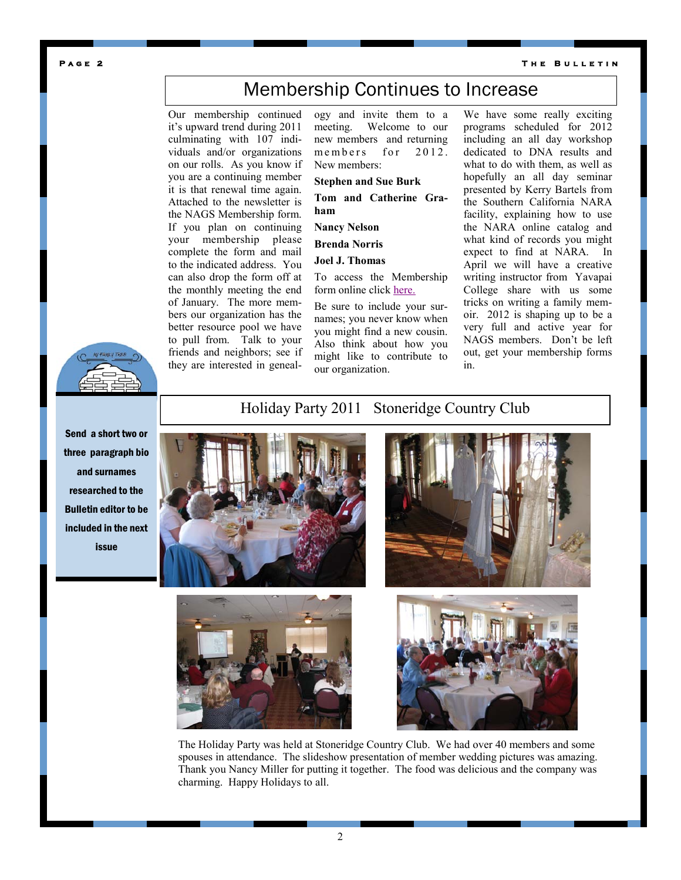**PAGE 2** THE BULLETIN

## Membership Continues to Increase

Our membership continued it's upward trend during 2011 culminating with 107 individuals and/or organizations on our rolls. As you know if you are a continuing member it is that renewal time again. Attached to the newsletter is the NAGS Membership form. If you plan on continuing your membership please complete the form and mail to the indicated address. You can also drop the form off at the monthly meeting the end of January. The more members our organization has the better resource pool we have to pull from. Talk to your friends and neighbors; see if they are interested in geneal-

ogy and invite them to a meeting. Welcome to our new members and returning members for 2012. New members:

**Stephen and Sue Burk**

**Tom and Catherine Graham**

**Nancy Nelson**

**Brenda Norris**

#### **Joel J. Thomas**

To access the Membership form online click [here.](http://nags.weebly.com/uploads/9/0/6/5/9065403/membership_form_2012.pdf)

Be sure to include your surnames; you never know when you might find a new cousin. Also think about how you might like to contribute to our organization.

We have some really exciting programs scheduled for 2012 including an all day workshop dedicated to DNA results and what to do with them, as well as hopefully an all day seminar presented by Kerry Bartels from the Southern California NARA facility, explaining how to use the NARA online catalog and what kind of records you might expect to find at NARA. In April we will have a creative writing instructor from Yavapai College share with us some tricks on writing a family memoir. 2012 is shaping up to be a very full and active year for NAGS members. Don't be left out, get your membership forms in.



Send a short two or three paragraph bio and surnames researched to the Bulletin editor to be included in the next issue

### Holiday Party 2011 Stoneridge Country Club









The Holiday Party was held at Stoneridge Country Club. We had over 40 members and some spouses in attendance. The slideshow presentation of member wedding pictures was amazing. Thank you Nancy Miller for putting it together. The food was delicious and the company was charming. Happy Holidays to all.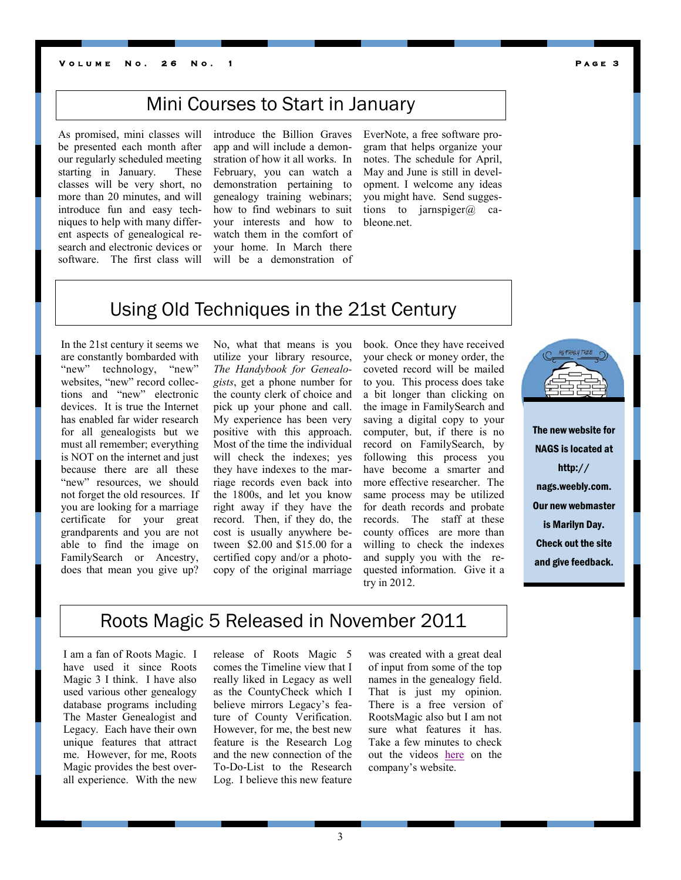#### **V o l u m e N o . 2 6 N o . 1 P a g e 3**

## Mini Courses to Start in January

As promised, mini classes will be presented each month after our regularly scheduled meeting starting in January. These classes will be very short, no more than 20 minutes, and will introduce fun and easy techniques to help with many different aspects of genealogical research and electronic devices or software. The first class will

introduce the Billion Graves app and will include a demonstration of how it all works. In February, you can watch a demonstration pertaining to genealogy training webinars; how to find webinars to suit your interests and how to watch them in the comfort of your home. In March there will be a demonstration of EverNote, a free software program that helps organize your notes. The schedule for April, May and June is still in development. I welcome any ideas you might have. Send suggestions to jarnspiger $\omega$  cableone.net.

### Using Old Techniques in the 21st Century

In the 21st century it seems we are constantly bombarded with "new" technology, "new" websites, "new" record collections and "new" electronic devices. It is true the Internet has enabled far wider research for all genealogists but we must all remember; everything is NOT on the internet and just because there are all these "new" resources, we should not forget the old resources. If you are looking for a marriage certificate for your great grandparents and you are not able to find the image on FamilySearch or Ancestry, does that mean you give up? No, what that means is you utilize your library resource, *The Handybook for Genealogists*, get a phone number for the county clerk of choice and pick up your phone and call. My experience has been very positive with this approach. Most of the time the individual will check the indexes; yes they have indexes to the marriage records even back into the 1800s, and let you know right away if they have the record. Then, if they do, the cost is usually anywhere between \$2.00 and \$15.00 for a certified copy and/or a photocopy of the original marriage book. Once they have received your check or money order, the coveted record will be mailed to you. This process does take a bit longer than clicking on the image in FamilySearch and saving a digital copy to your computer, but, if there is no record on FamilySearch, by following this process you have become a smarter and more effective researcher. The same process may be utilized for death records and probate records. The staff at these county offices are more than willing to check the indexes and supply you with the requested information. Give it a try in 2012.



The new website for NAGS is located at http:// nags.weebly.com. Our new webmaster is Marilyn Day. Check out the site and give feedback.

### Roots Magic 5 Released in November 2011

I am a fan of Roots Magic. I have used it since Roots Magic 3 I think. I have also used various other genealogy database programs including The Master Genealogist and Legacy. Each have their own unique features that attract me. However, for me, Roots Magic provides the best overall experience. With the new

release of Roots Magic 5 comes the Timeline view that I really liked in Legacy as well as the CountyCheck which I believe mirrors Legacy's feature of County Verification. However, for me, the best new feature is the Research Log and the new connection of the To-Do-List to the Research Log. I believe this new feature

was created with a great deal of input from some of the top names in the genealogy field. That is just my opinion. There is a free version of RootsMagic also but I am not sure what features it has. Take a few minutes to check out the videos [here](http://www.rootsmagic.com/webinars/) on the company's website.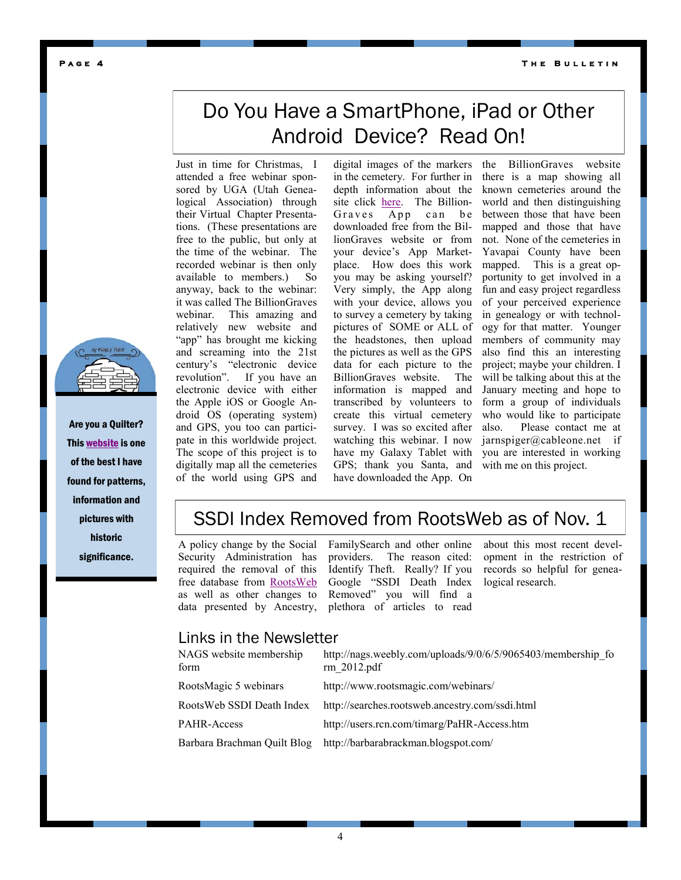#### **T h e B u l l e t i n**

# Do You Have a SmartPhone, iPad or Other Android Device? Read On!

Just in time for Christmas, I attended a free webinar sponsored by UGA (Utah Genealogical Association) through their Virtual Chapter Presentations. (These presentations are free to the public, but only at the time of the webinar. The recorded webinar is then only available to members.) So anyway, back to the webinar: it was called The BillionGraves webinar. This amazing and relatively new website and "app" has brought me kicking and screaming into the 21st century's "electronic device revolution". If you have an electronic device with either the Apple iOS or Google Android OS (operating system) and GPS, you too can participate in this worldwide project. The scope of this project is to digitally map all the cemeteries of the world using GPS and

digital images of the markers in the cemetery. For further in depth information about the site click [here.](http://billiongraves.com) The Billion-Graves App can be downloaded free from the BillionGraves website or from your device's App Marketplace. How does this work you may be asking yourself? Very simply, the App along with your device, allows you to survey a cemetery by taking pictures of SOME or ALL of the headstones, then upload the pictures as well as the GPS data for each picture to the BillionGraves website. The information is mapped and transcribed by volunteers to create this virtual cemetery survey. I was so excited after watching this webinar. I now have my Galaxy Tablet with GPS; thank you Santa, and have downloaded the App. On

the BillionGraves website there is a map showing all known cemeteries around the world and then distinguishing between those that have been mapped and those that have not. None of the cemeteries in Yavapai County have been mapped. This is a great opportunity to get involved in a fun and easy project regardless of your perceived experience in genealogy or with technology for that matter. Younger members of community may also find this an interesting project; maybe your children. I will be talking about this at the January meeting and hope to form a group of individuals who would like to participate also. Please contact me at jarnspiger@cableone.net if you are interested in working with me on this project.

### SSDI Index Removed from RootsWeb as of Nov. 1

A policy change by the Social Security Administration has required the removal of this free database from [RootsWeb](http://searches.rootsweb.ancestry.com/ssdi.html) as well as other changes to data presented by Ancestry,

FamilySearch and other online providers. The reason cited: Identify Theft. Really? If you Google "SSDI Death Index Removed" you will find a plethora of articles to read

about this most recent development in the restriction of records so helpful for genealogical research.

#### Links in the Newsletter

| http://nags.weebly.com/uploads/9/0/6/5/9065403/membership fo<br>rm 2012.pdf |
|-----------------------------------------------------------------------------|
| http://www.rootsmagic.com/webinars/                                         |
| http://searches.rootsweb.ancestry.com/ssdi.html                             |
| http://users.rcn.com/timarg/PaHR-Access.htm                                 |
| http://barbarabrackman.blogspot.com/                                        |
|                                                                             |



Are you a Quilter? This [website](http://barbarabrackman.blogspot.com/) is one of the best I have found for patterns, information and pictures with historic significance.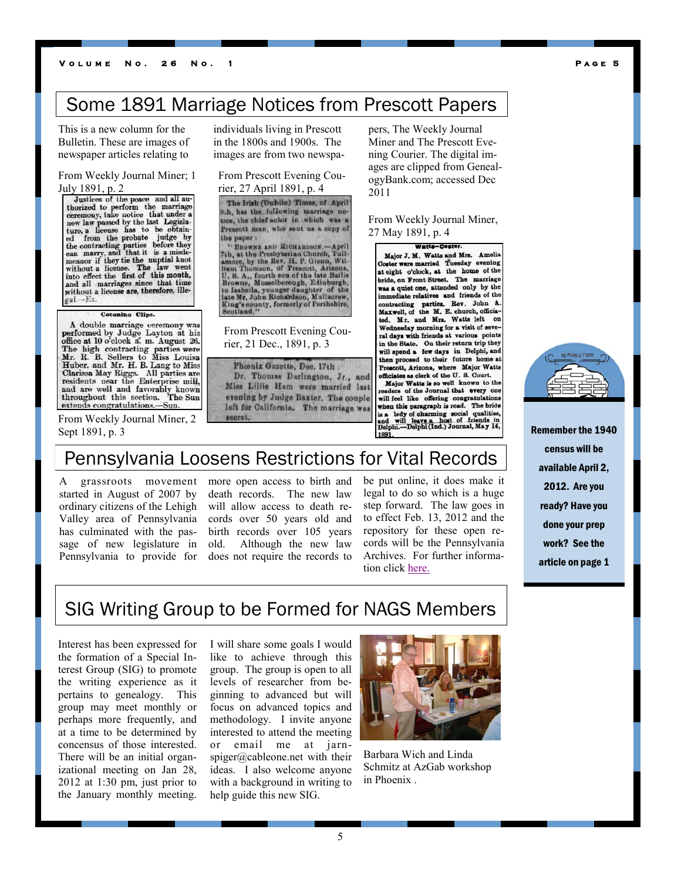### Some 1891 Marriage Notices from Prescott Papers

This is a new column for the Bulletin. These are images of newspaper articles relating to

From Weekly Journal Miner; 1

July 1891, p. 2<br>Justices of the peace and all autorized to perform the marriage<br>ceremony, take notice that under a ceremony, take notice that under a<br>new law passed by the last Legisla-<br>ture, a license has to be obtain-<br>ed from the probate judge by<br>the contracting parties before they<br>meanor if they tie the nuptial knot<br>meanor if they t into effect the first of this month, and all marriages since that time without a license are, therefore, illegal.-Ex.

#### Coconino Clips.

A double marriage ceremony was performed by Judge Layton at his<br>office at 10 o'clock a. m. August 26. omee at 10 clock at m. August 20.<br>The high contracting parties were<br>Mr. R. B. Sellers to Miss Louisa<br>Huber, and Mr. H. B. Lang to Miss<br>Clarissa May Riggs. All parties are<br>residents near the Enterprise mill, residents near the Enterprise mill,<br>and are well and favorably known<br>throughout this section. The Sun extends congratulations.-Sun.

From Weekly Journal Miner, 2 Sept 1891, p. 3

individuals living in Prescott in the 1800s and 1900s. The images are from two newspa-

From Prescott Evening Courier, 27 April 1891, p. 4

The Irish (Dublin) Times, of April 9th, has the following marriage notice, the chief actor in which was a Prescott man, who sent us a copy of the paper:

"BROWNE AND RICHARDSON. "Bnowsk axp koletakespos.—April<br>7th, at the Presbyterian Church, Tull-<br>amore, by the Rev. H. P. Gienn, Wil-<br>Ham Thomson, of Prescott, Arizona.<br>U. S. A., fourth son of the late Bailie<br>Browne, Musselborough, Edioburgh,<br>tate

From Prescott Evening Courier, 21 Dec., 1891, p. 3

Phœnix Gazette, Dec. 17th: Dr. Thomas Darlington, Jr., and Miss Lillie Ham were married last evening by Judge Baxter. The couple left for California. The marriage was secret.

pers, The Weekly Journal Miner and The Prescott Evening Courier. The digital images are clipped from GenealogyBank.com; accessed Dec 2011

From Weekly Journal Miner, 27 May 1891, p. 4

**Watte-Foster** Major J. M. Watts and Mrs. Amelia<br>Coster were married Tuesday evening at eight o'clock, at the home of the bride, on Front Street. The marriage was a quiet one, attended only by the immediate relatives and friends of the contracting parties. Rev. John A<br>Maxwell, of the M. E. church, officiated. Mr. and Mrs. Watts left on Wednesday morning for a visit of several days with friends at various point in the State. On their return trip they will spend a few days in Delphi, and then proceed to their future home at Prescott, Arizona, where Major Watts officiates as clerk of the U.S. Court. Major Watts is so well known to the<br>readers of the Journal that every one will feel like offering congratulations when this paragraph is read. The bride when the barrel of charming social qualities,<br>and will leave a host of friends in<br>Delphi.—Delphi (Ind.) Journal, May 14,

### Pennsylvania Loosens Restrictions for Vital Records

A grassroots movement started in August of 2007 by ordinary citizens of the Lehigh Valley area of Pennsylvania has culminated with the passage of new legislature in Pennsylvania to provide for

more open access to birth and death records. The new law will allow access to death records over 50 years old and birth records over 105 years old. Although the new law does not require the records to

be put online, it does make it legal to do so which is a huge step forward. The law goes in to effect Feb. 13, 2012 and the repository for these open records will be the Pennsylvania Archives. For further information click [here.](http://users.rcn.com/timarg/PaHR-Access.htm)



Remember the 1940 census will be available April 2, 2012. Are you ready? Have you done your prep work? See the article on page 1

### SIG Writing Group to be Formed for NAGS Members

Interest has been expressed for the formation of a Special Interest Group (SIG) to promote the writing experience as it pertains to genealogy. This group may meet monthly or perhaps more frequently, and at a time to be determined by concensus of those interested. There will be an initial organizational meeting on Jan 28, 2012 at 1:30 pm, just prior to the January monthly meeting.

I will share some goals I would like to achieve through this group. The group is open to all levels of researcher from beginning to advanced but will focus on advanced topics and methodology. I invite anyone interested to attend the meeting or email me at jarnspiger@cableone.net with their ideas. I also welcome anyone with a background in writing to help guide this new SIG.



Barbara Wich and Linda Schmitz at AzGab workshop in Phoenix .